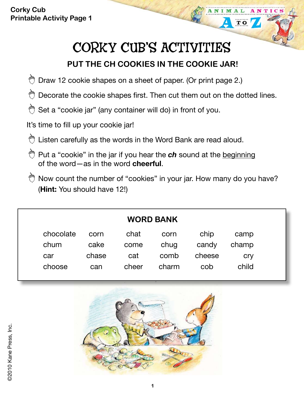**Corky Cub Printable Activity Page 1**

## CORKY CUB'S ACTIVITIES

TIC

**TO** 

## **PUT THE CH COOKIES IN THE COOKIE JAR!**

- O Draw 12 cookie shapes on a sheet of paper. (Or print page 2.)
- $\bigcirc$  Decorate the cookie shapes first. Then cut them out on the dotted lines.
- Set a "cookie jar" (any container will do) in front of you. ⇔

It's time to fill up your cookie jar!

- Listen carefully as the words in the Word Bank are read aloud.
- **Put a "cookie" in the jar if you hear the ch** sound at the beginning of the word—as in the word **cheerful**.
- $\bigcirc$  Now count the number of "cookies" in your jar. How many do you have? (**Hint:** You should have 12!)

| <b>WORD BANK</b> |       |       |       |        |            |
|------------------|-------|-------|-------|--------|------------|
| chocolate        | corn  | chat  | corn  | chip   | camp       |
| chum             | cake  | come  | chug  | candy  | champ      |
| car              | chase | cat   | comb  | cheese | <b>Cry</b> |
| choose           | can   | cheer | charm | cob    | child      |
|                  |       |       |       |        |            |

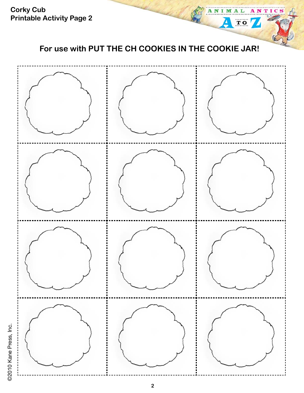**Corky Cub Printable Activity Page 2**

**For use with PUT THE CH COOKIES IN THE COOKIE JAR!**

ANTICS

M

 $\Delta$ 

L

**TO** 



©2010 Kane Press, Inc. ©2010 Kane Press, Inc.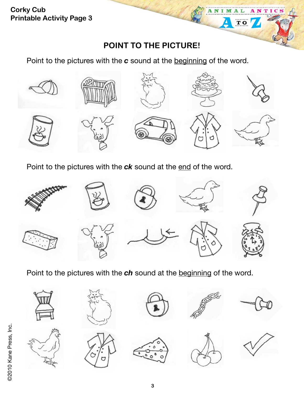**Corky Cub Printable Activity Page 3**

ANI

M

 $\overline{\mathbf{T}}$  O

TICS

Point to the pictures with the *c* sound at the beginning of the word.



Point to the pictures with the **ck** sound at the end of the word.



Point to the pictures with the *ch* sound at the beginning of the word.